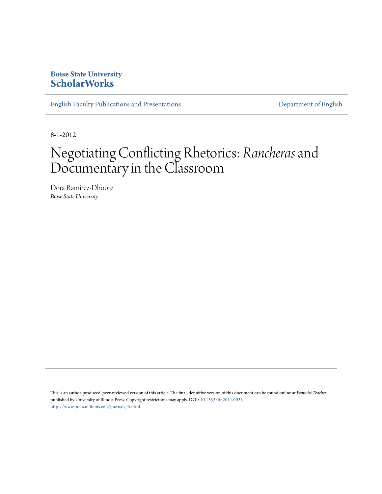## **Boise State University [ScholarWorks](https://scholarworks.boisestate.edu)**

[English Faculty Publications and Presentations](https://scholarworks.boisestate.edu/english_facpubs) **[Department of English](https://scholarworks.boisestate.edu/english)** 

8-1-2012

# Negotiating Conflicting Rhetorics: *Rancheras*and Documentary in the Classroom

Dora Ramirez-Dhoore *Boise State University*

This is an author-produced, peer-reviewed version of this article. The final, definitive version of this document can be found online at *Feminist Teacher*, published by University of Illinois Press. Copyright restrictions may apply. DOI:  $10.1353/\mathrm{fr}.2011.0033$ <http://www.press.uillinois.edu/journals/ft.html>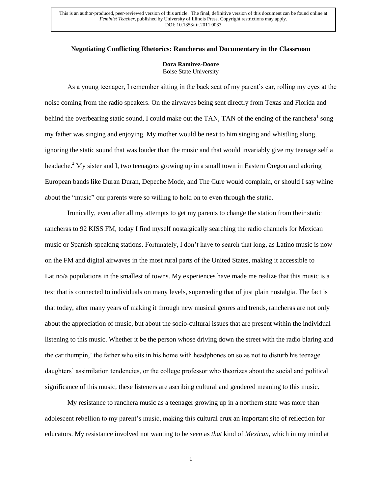## **Negotiating Conflicting Rhetorics: Rancheras and Documentary in the Classroom**

**Dora Ramirez-Doore** Boise State University

As a young teenager, I remember sitting in the back seat of my parent's car, rolling my eyes at the noise coming from the radio speakers. On the airwaves being sent directly from Texas and Florida and behind the overbearing static sound, I could make out the TAN, TAN of the ending of the ranchera<sup>1</sup> song my father was singing and enjoying. My mother would be next to him singing and whistling along, ignoring the static sound that was louder than the music and that would invariably give my teenage self a headache.<sup>2</sup> My sister and I, two teenagers growing up in a small town in Eastern Oregon and adoring European bands like Duran Duran, Depeche Mode, and The Cure would complain, or should I say whine about the "music" our parents were so willing to hold on to even through the static.

Ironically, even after all my attempts to get my parents to change the station from their static rancheras to 92 KISS FM, today I find myself nostalgically searching the radio channels for Mexican music or Spanish-speaking stations. Fortunately, I don't have to search that long, as Latino music is now on the FM and digital airwaves in the most rural parts of the United States, making it accessible to Latino/a populations in the smallest of towns. My experiences have made me realize that this music is a text that is connected to individuals on many levels, superceding that of just plain nostalgia. The fact is that today, after many years of making it through new musical genres and trends, rancheras are not only about the appreciation of music, but about the socio-cultural issues that are present within the individual listening to this music. Whether it be the person whose driving down the street with the radio blaring and the car thumpin,' the father who sits in his home with headphones on so as not to disturb his teenage daughters' assimilation tendencies, or the college professor who theorizes about the social and political significance of this music, these listeners are ascribing cultural and gendered meaning to this music.

My resistance to ranchera music as a teenager growing up in a northern state was more than adolescent rebellion to my parent's music, making this cultural crux an important site of reflection for educators. My resistance involved not wanting to be *seen* as *that* kind of *Mexican*, which in my mind at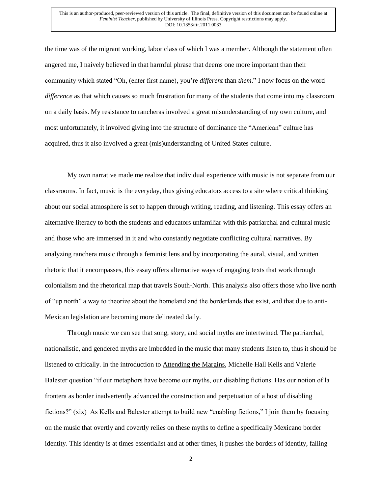the time was of the migrant working, labor class of which I was a member. Although the statement often angered me, I naively believed in that harmful phrase that deems one more important than their community which stated "Oh, (enter first name), you're *different* than *them*." I now focus on the word *difference* as that which causes so much frustration for many of the students that come into my classroom on a daily basis. My resistance to rancheras involved a great misunderstanding of my own culture, and most unfortunately, it involved giving into the structure of dominance the "American" culture has acquired, thus it also involved a great (mis)understanding of United States culture.

My own narrative made me realize that individual experience with music is not separate from our classrooms. In fact, music is the everyday, thus giving educators access to a site where critical thinking about our social atmosphere is set to happen through writing, reading, and listening. This essay offers an alternative literacy to both the students and educators unfamiliar with this patriarchal and cultural music and those who are immersed in it and who constantly negotiate conflicting cultural narratives. By analyzing ranchera music through a feminist lens and by incorporating the aural, visual, and written rhetoric that it encompasses, this essay offers alternative ways of engaging texts that work through colonialism and the rhetorical map that travels South-North. This analysis also offers those who live north of "up north" a way to theorize about the homeland and the borderlands that exist, and that due to anti-Mexican legislation are becoming more delineated daily.

Through music we can see that song, story, and social myths are intertwined. The patriarchal, nationalistic, and gendered myths are imbedded in the music that many students listen to, thus it should be listened to critically. In the introduction to Attending the Margins, Michelle Hall Kells and Valerie Balester question "if our metaphors have become our myths, our disabling fictions. Has our notion of la frontera as border inadvertently advanced the construction and perpetuation of a host of disabling fictions?" (xix) As Kells and Balester attempt to build new "enabling fictions," I join them by focusing on the music that overtly and covertly relies on these myths to define a specifically Mexicano border identity. This identity is at times essentialist and at other times, it pushes the borders of identity, falling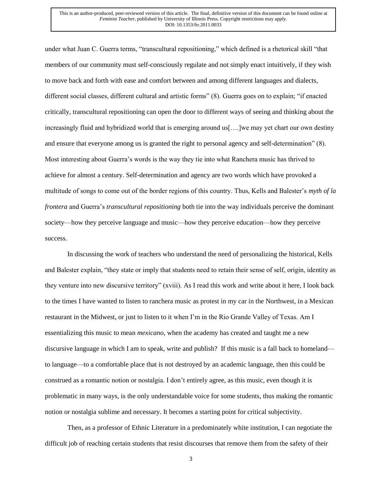under what Juan C. Guerra terms, "transcultural repositioning," which defined is a rhetorical skill "that members of our community must self-consciously regulate and not simply enact intuitively, if they wish to move back and forth with ease and comfort between and among different languages and dialects, different social classes, different cultural and artistic forms" (8). Guerra goes on to explain; "if enacted critically, transcultural repositioning can open the door to different ways of seeing and thinking about the increasingly fluid and hybridized world that is emerging around us[….]we may yet chart our own destiny and ensure that everyone among us is granted the right to personal agency and self-determination" (8). Most interesting about Guerra's words is the way they tie into what Ranchera music has thrived to achieve for almost a century. Self-determination and agency are two words which have provoked a multitude of songs to come out of the border regions of this country. Thus, Kells and Balester's *myth of la frontera* and Guerra's *transcultural repositioning* both tie into the way individuals perceive the dominant society—how they perceive language and music—how they perceive education—how they perceive success.

In discussing the work of teachers who understand the need of personalizing the historical, Kells and Balester explain, "they state or imply that students need to retain their sense of self, origin, identity as they venture into new discursive territory" (xviii). As I read this work and write about it here, I look back to the times I have wanted to listen to ranchera music as protest in my car in the Northwest, in a Mexican restaurant in the Midwest, or just to listen to it when I'm in the Rio Grande Valley of Texas. Am I essentializing this music to mean *mexicano*, when the academy has created and taught me a new discursive language in which I am to speak, write and publish? If this music is a fall back to homeland to language—to a comfortable place that is not destroyed by an academic language, then this could be construed as a romantic notion or nostalgia. I don't entirely agree, as this music, even though it is problematic in many ways, is the only understandable voice for some students, thus making the romantic notion or nostalgia sublime and necessary. It becomes a starting point for critical subjectivity.

Then, as a professor of Ethnic Literature in a predominately white institution, I can negotiate the difficult job of reaching certain students that resist discourses that remove them from the safety of their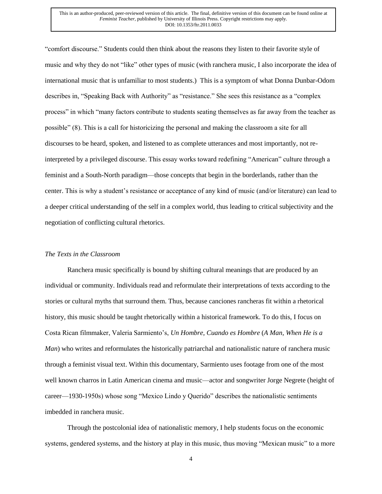"comfort discourse." Students could then think about the reasons they listen to their favorite style of music and why they do not "like" other types of music (with ranchera music, I also incorporate the idea of international music that is unfamiliar to most students.) This is a symptom of what Donna Dunbar-Odom describes in, "Speaking Back with Authority" as "resistance." She sees this resistance as a "complex process" in which "many factors contribute to students seating themselves as far away from the teacher as possible" (8). This is a call for historicizing the personal and making the classroom a site for all discourses to be heard, spoken, and listened to as complete utterances and most importantly, not reinterpreted by a privileged discourse. This essay works toward redefining "American" culture through a feminist and a South-North paradigm—those concepts that begin in the borderlands, rather than the center. This is why a student's resistance or acceptance of any kind of music (and/or literature) can lead to a deeper critical understanding of the self in a complex world, thus leading to critical subjectivity and the negotiation of conflicting cultural rhetorics.

## *The Texts in the Classroom*

Ranchera music specifically is bound by shifting cultural meanings that are produced by an individual or community. Individuals read and reformulate their interpretations of texts according to the stories or cultural myths that surround them. Thus, because canciones rancheras fit within a rhetorical history, this music should be taught rhetorically within a historical framework. To do this, I focus on Costa Rican filmmaker, Valeria Sarmiento's, *Un Hombre, Cuando es Hombre* (*A Man, When He is a Man*) who writes and reformulates the historically patriarchal and nationalistic nature of ranchera music through a feminist visual text. Within this documentary, Sarmiento uses footage from one of the most well known charros in Latin American cinema and music—actor and songwriter Jorge Negrete (height of career—1930-1950s) whose song "Mexico Lindo y Querido" describes the nationalistic sentiments imbedded in ranchera music.

Through the postcolonial idea of nationalistic memory, I help students focus on the economic systems, gendered systems, and the history at play in this music, thus moving "Mexican music" to a more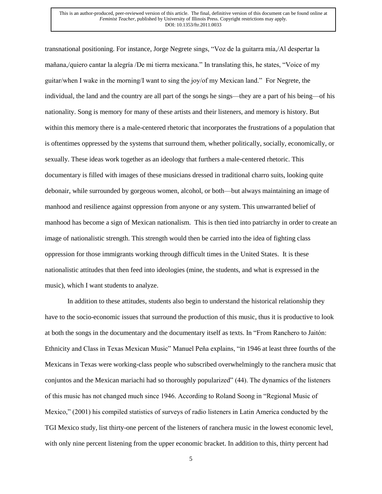transnational positioning. For instance, Jorge Negrete sings, "Voz de la guitarra mía,/Al despertar la mañana,/quiero cantar la alegría /De mi tierra mexicana." In translating this, he states, "Voice of my guitar/when I wake in the morning/I want to sing the joy/of my Mexican land." For Negrete, the individual, the land and the country are all part of the songs he sings—they are a part of his being—of his nationality. Song is memory for many of these artists and their listeners, and memory is history. But within this memory there is a male-centered rhetoric that incorporates the frustrations of a population that is oftentimes oppressed by the systems that surround them, whether politically, socially, economically, or sexually. These ideas work together as an ideology that furthers a male-centered rhetoric. This documentary is filled with images of these musicians dressed in traditional charro suits, looking quite debonair, while surrounded by gorgeous women, alcohol, or both—but always maintaining an image of manhood and resilience against oppression from anyone or any system. This unwarranted belief of manhood has become a sign of Mexican nationalism. This is then tied into patriarchy in order to create an image of nationalistic strength. This strength would then be carried into the idea of fighting class oppression for those immigrants working through difficult times in the United States. It is these nationalistic attitudes that then feed into ideologies (mine, the students, and what is expressed in the music), which I want students to analyze.

In addition to these attitudes, students also begin to understand the historical relationship they have to the socio-economic issues that surround the production of this music, thus it is productive to look at both the songs in the documentary and the documentary itself as texts. In "From Ranchero to Jaitón: Ethnicity and Class in Texas Mexican Music" Manuel Peña explains, "in 1946 at least three fourths of the Mexicans in Texas were working-class people who subscribed overwhelmingly to the ranchera music that conjuntos and the Mexican mariachi had so thoroughly popularized" (44). The dynamics of the listeners of this music has not changed much since 1946. According to Roland Soong in "Regional Music of Mexico," (2001) his compiled statistics of surveys of radio listeners in Latin America conducted by the TGI Mexico study, list thirty-one percent of the listeners of ranchera music in the lowest economic level, with only nine percent listening from the upper economic bracket. In addition to this, thirty percent had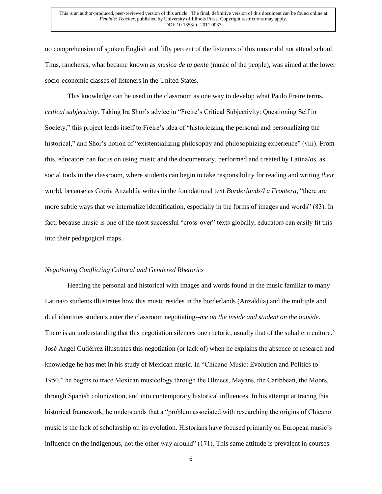no comprehension of spoken English and fifty percent of the listeners of this music did not attend school. Thus, rancheras, what became known as *musica de la gente* (music of the people), was aimed at the lower socio-economic classes of listeners in the United States.

This knowledge can be used in the classroom as one way to develop what Paulo Freire terms, *critical subjectivity*. Taking Ira Shor's advice in "Freire's Critical Subjectivity: Questioning Self in Society," this project lends itself to Freire's idea of "historicizing the personal and personalizing the historical," and Shor's notion of "existentializing philosophy and philosophizing experience" (viii). From this, educators can focus on using music and the documentary, performed and created by Latina/os, as social tools in the classroom, where students can begin to take responsibility for reading and writing *their*  world, because as Gloria Anzaldúa writes in the foundational text *Borderlands/La Frontera*, "there are more subtle ways that we internalize identification, especially in the forms of images and words" (83). In fact, because music is one of the most successful "cross-over" texts globally, educators can easily fit this into their pedagogical maps.

## *Negotiating Conflicting Cultural and Gendered Rhetorics*

Heeding the personal and historical with images and words found in the music familiar to many Latina/o students illustrates how this music resides in the borderlands (Anzaldúa) and the multiple and dual identities students enter the classroom negotiating--*me on the inside and student on the outside*. There is an understanding that this negotiation silences one rhetoric, usually that of the subaltern culture.<sup>3</sup> José Angel Gutiérrez illustrates this negotiation (or lack of) when he explains the absence of research and knowledge he has met in his study of Mexican music. In "Chicano Music: Evolution and Politics to 1950," he begins to trace Mexican musicology through the Olmecs, Mayans, the Caribbean, the Moors, through Spanish colonization, and into contemporary historical influences. In his attempt at tracing this historical framework, he understands that a "problem associated with researching the origins of Chicano music is the lack of scholarship on its evolution. Historians have focused primarily on European music's influence on the indigenous, not the other way around" (171). This same attitude is prevalent in courses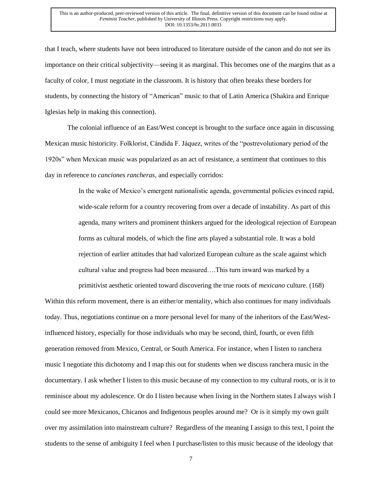that I teach, where students have not been introduced to literature outside of the canon and do not see its importance on their critical subjectivity—seeing it as marginal. This becomes one of the margins that as a faculty of color, I must negotiate in the classroom. It is history that often breaks these borders for students, by connecting the history of "American" music to that of Latin America (Shakira and Enrique Iglesias help in making this connection).

The colonial influence of an East/West concept is brought to the surface once again in discussing Mexican music historicity. Folklorist, Cándida F. Jáquez, writes of the "postrevolutionary period of the 1920s" when Mexican music was popularized as an act of resistance, a sentiment that continues to this day in reference to *canciones rancheras*, and especially corridos:

> In the wake of Mexico's emergent nationalistic agenda, governmental policies evinced rapid, wide-scale reform for a country recovering from over a decade of instability. As part of this agenda, many writers and prominent thinkers argued for the ideological rejection of European forms as cultural models, of which the fine arts played a substantial role. It was a bold rejection of earlier attitudes that had valorized European culture as the scale against which cultural value and progress had been measured….This turn inward was marked by a primitivist aesthetic oriented toward discovering the true roots of *mexicano* culture. (168)

Within this reform movement, there is an either/or mentality, which also continues for many individuals today. Thus, negotiations continue on a more personal level for many of the inheritors of the East/Westinfluenced history, especially for those individuals who may be second, third, fourth, or even fifth generation removed from Mexico, Central, or South America. For instance, when I listen to ranchera music I negotiate this dichotomy and I map this out for students when we discuss ranchera music in the documentary. I ask whether I listen to this music because of my connection to my cultural roots, or is it to reminisce about my adolescence. Or do I listen because when living in the Northern states I always wish I could see more Mexicanos, Chicanos and Indigenous peoples around me? Or is it simply my own guilt over my assimilation into mainstream culture? Regardless of the meaning I assign to this text, I point the students to the sense of ambiguity I feel when I purchase/listen to this music because of the ideology that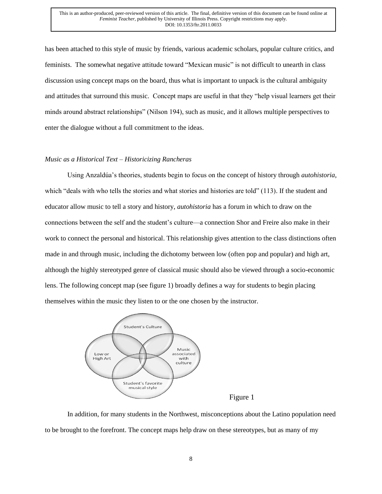has been attached to this style of music by friends, various academic scholars, popular culture critics, and feminists. The somewhat negative attitude toward "Mexican music" is not difficult to unearth in class discussion using concept maps on the board, thus what is important to unpack is the cultural ambiguity and attitudes that surround this music. Concept maps are useful in that they "help visual learners get their minds around abstract relationships" (Nilson 194), such as music, and it allows multiple perspectives to enter the dialogue without a full commitment to the ideas.

## *Music as a Historical Text – Historicizing Rancheras*

Using Anzaldúa's theories, students begin to focus on the concept of history through *autohistoria*, which "deals with who tells the stories and what stories and histories are told" (113). If the student and educator allow music to tell a story and history, *autohistoria* has a forum in which to draw on the connections between the self and the student's culture—a connection Shor and Freire also make in their work to connect the personal and historical. This relationship gives attention to the class distinctions often made in and through music, including the dichotomy between low (often pop and popular) and high art, although the highly stereotyped genre of classical music should also be viewed through a socio-economic lens. The following concept map (see figure 1) broadly defines a way for students to begin placing themselves within the music they listen to or the one chosen by the instructor.



Figure 1

In addition, for many students in the Northwest, misconceptions about the Latino population need to be brought to the forefront. The concept maps help draw on these stereotypes, but as many of my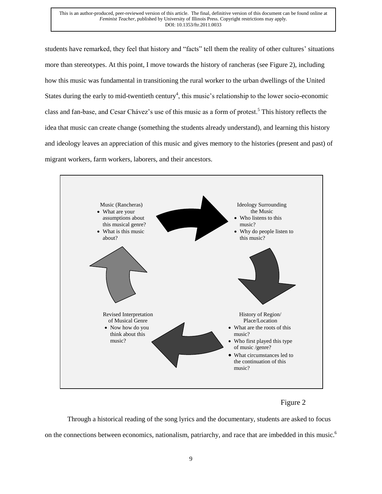students have remarked, they feel that history and "facts" tell them the reality of other cultures' situations more than stereotypes. At this point, I move towards the history of rancheras (see Figure 2), including how this music was fundamental in transitioning the rural worker to the urban dwellings of the United States during the early to mid-twentieth century<sup>4</sup>, this music's relationship to the lower socio-economic class and fan-base, and Cesar Chávez's use of this music as a form of protest.<sup>5</sup> This history reflects the idea that music can create change (something the students already understand), and learning this history and ideology leaves an appreciation of this music and gives memory to the histories (present and past) of migrant workers, farm workers, laborers, and their ancestors.



Figure 2

Through a historical reading of the song lyrics and the documentary, students are asked to focus on the connections between economics, nationalism, patriarchy, and race that are imbedded in this music.<sup>6</sup>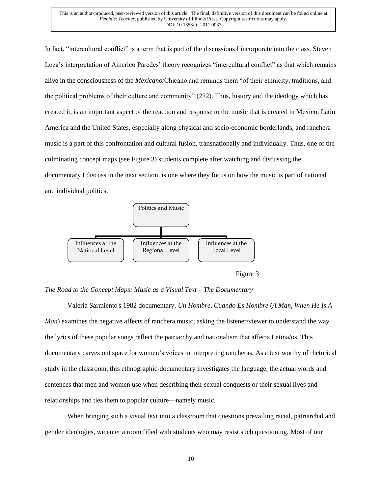In fact, "intercultural conflict" is a term that is part of the discussions I incorporate into the class. Steven Loza's interpretation of Americo Paredes' theory recognizes "intercultural conflict" as that which remains alive in the consciousness of the *Mexicano*/Chicano and reminds them "of their ethnicity, traditions, and the political problems of their culture and community" (272). Thus, history and the ideology which has created it, is an important aspect of the reaction and response to the music that is created in Mexico, Latin America and the United States, especially along physical and socio-economic borderlands, and ranchera music is a part of this confrontation and cultural fusion, transnationally and individually. Thus, one of the culminating concept maps (see Figure 3) students complete after watching and discussing the documentary I discuss in the next section, is one where they focus on how the music is part of national and individual politics.



Figure 3

## *The Road to the Concept Maps: Music as a Visual Text – The Documentary*

Valeria Sarmiento's 1982 documentary, *Un Hombre, Cuando Es Hombre* (*A Man, When He Is A Man*) examines the negative affects of ranchera music, asking the listener/viewer to understand the way the lyrics of these popular songs reflect the patriarchy and nationalism that affects Latina/os. This documentary carves out space for women's voices in interpreting rancheras. As a text worthy of rhetorical study in the classroom, this ethnographic-documentary investigates the language, the actual words and sentences that men and women use when describing their sexual conquests or their sexual lives and relationships and ties them to popular culture—namely music.

When bringing such a visual text into a classroom that questions prevailing racial, patriarchal and gender ideologies, we enter a room filled with students who may resist such questioning. Most of our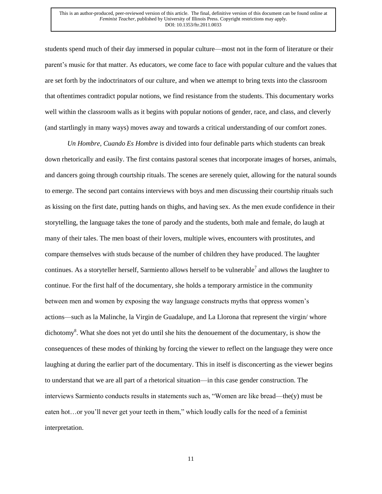students spend much of their day immersed in popular culture—most not in the form of literature or their parent's music for that matter. As educators, we come face to face with popular culture and the values that are set forth by the indoctrinators of our culture, and when we attempt to bring texts into the classroom that oftentimes contradict popular notions, we find resistance from the students. This documentary works well within the classroom walls as it begins with popular notions of gender, race, and class, and cleverly (and startlingly in many ways) moves away and towards a critical understanding of our comfort zones.

*Un Hombre, Cuando Es Hombre* is divided into four definable parts which students can break down rhetorically and easily. The first contains pastoral scenes that incorporate images of horses, animals, and dancers going through courtship rituals. The scenes are serenely quiet, allowing for the natural sounds to emerge. The second part contains interviews with boys and men discussing their courtship rituals such as kissing on the first date, putting hands on thighs, and having sex. As the men exude confidence in their storytelling, the language takes the tone of parody and the students, both male and female, do laugh at many of their tales. The men boast of their lovers, multiple wives, encounters with prostitutes, and compare themselves with studs because of the number of children they have produced. The laughter continues. As a storyteller herself, Sarmiento allows herself to be vulnerable<sup>7</sup> and allows the laughter to continue. For the first half of the documentary, she holds a temporary armistice in the community between men and women by exposing the way language constructs myths that oppress women's actions—such as la Malinche, la Virgin de Guadalupe, and La Llorona that represent the virgin/ whore dichotomy<sup>8</sup>. What she does not yet do until she hits the denouement of the documentary, is show the consequences of these modes of thinking by forcing the viewer to reflect on the language they were once laughing at during the earlier part of the documentary. This in itself is disconcerting as the viewer begins to understand that we are all part of a rhetorical situation—in this case gender construction. The interviews Sarmiento conducts results in statements such as, "Women are like bread—the(y) must be eaten hot…or you'll never get your teeth in them," which loudly calls for the need of a feminist interpretation.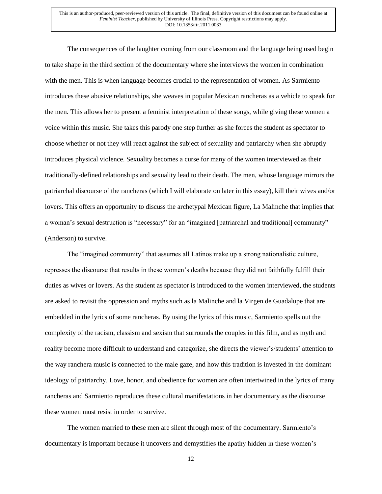The consequences of the laughter coming from our classroom and the language being used begin to take shape in the third section of the documentary where she interviews the women in combination with the men. This is when language becomes crucial to the representation of women. As Sarmiento introduces these abusive relationships, she weaves in popular Mexican rancheras as a vehicle to speak for the men. This allows her to present a feminist interpretation of these songs, while giving these women a voice within this music. She takes this parody one step further as she forces the student as spectator to choose whether or not they will react against the subject of sexuality and patriarchy when she abruptly introduces physical violence. Sexuality becomes a curse for many of the women interviewed as their traditionally-defined relationships and sexuality lead to their death. The men, whose language mirrors the patriarchal discourse of the rancheras (which I will elaborate on later in this essay), kill their wives and/or lovers. This offers an opportunity to discuss the archetypal Mexican figure, La Malinche that implies that a woman's sexual destruction is "necessary" for an "imagined [patriarchal and traditional] community" (Anderson) to survive.

The "imagined community" that assumes all Latinos make up a strong nationalistic culture, represses the discourse that results in these women's deaths because they did not faithfully fulfill their duties as wives or lovers. As the student as spectator is introduced to the women interviewed, the students are asked to revisit the oppression and myths such as la Malinche and la Virgen de Guadalupe that are embedded in the lyrics of some rancheras. By using the lyrics of this music, Sarmiento spells out the complexity of the racism, classism and sexism that surrounds the couples in this film, and as myth and reality become more difficult to understand and categorize, she directs the viewer's/students' attention to the way ranchera music is connected to the male gaze, and how this tradition is invested in the dominant ideology of patriarchy. Love, honor, and obedience for women are often intertwined in the lyrics of many rancheras and Sarmiento reproduces these cultural manifestations in her documentary as the discourse these women must resist in order to survive.

The women married to these men are silent through most of the documentary. Sarmiento's documentary is important because it uncovers and demystifies the apathy hidden in these women's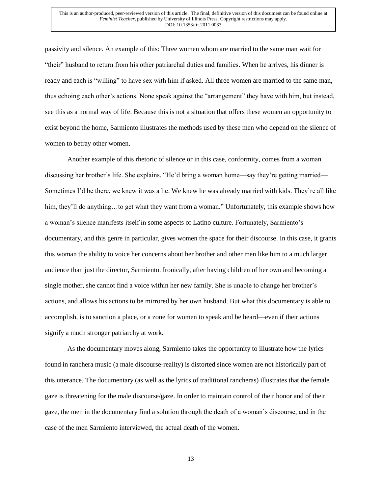passivity and silence. An example of this: Three women whom are married to the same man wait for "their" husband to return from his other patriarchal duties and families. When he arrives, his dinner is ready and each is "willing" to have sex with him if asked. All three women are married to the same man, thus echoing each other's actions. None speak against the "arrangement" they have with him, but instead, see this as a normal way of life. Because this is not a situation that offers these women an opportunity to exist beyond the home, Sarmiento illustrates the methods used by these men who depend on the silence of women to betray other women.

Another example of this rhetoric of silence or in this case, conformity, comes from a woman discussing her brother's life. She explains, "He'd bring a woman home—say they're getting married— Sometimes I'd be there, we knew it was a lie. We knew he was already married with kids. They're all like him, they'll do anything...to get what they want from a woman." Unfortunately, this example shows how a woman's silence manifests itself in some aspects of Latino culture. Fortunately, Sarmiento's documentary, and this genre in particular, gives women the space for their discourse. In this case, it grants this woman the ability to voice her concerns about her brother and other men like him to a much larger audience than just the director, Sarmiento. Ironically, after having children of her own and becoming a single mother, she cannot find a voice within her new family. She is unable to change her brother's actions, and allows his actions to be mirrored by her own husband. But what this documentary is able to accomplish, is to sanction a place, or a zone for women to speak and be heard—even if their actions signify a much stronger patriarchy at work.

As the documentary moves along, Sarmiento takes the opportunity to illustrate how the lyrics found in ranchera music (a male discourse-reality) is distorted since women are not historically part of this utterance. The documentary (as well as the lyrics of traditional rancheras) illustrates that the female gaze is threatening for the male discourse/gaze. In order to maintain control of their honor and of their gaze, the men in the documentary find a solution through the death of a woman's discourse, and in the case of the men Sarmiento interviewed, the actual death of the women.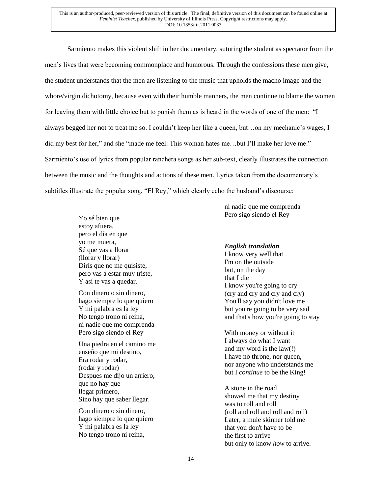Sarmiento makes this violent shift in her documentary, suturing the student as spectator from the men's lives that were becoming commonplace and humorous. Through the confessions these men give, the student understands that the men are listening to the music that upholds the macho image and the whore/virgin dichotomy, because even with their humble manners, the men continue to blame the women for leaving them with little choice but to punish them as is heard in the words of one of the men: "I always begged her not to treat me so. I couldn't keep her like a queen, but…on my mechanic's wages, I did my best for her," and she "made me feel: This woman hates me...but I'll make her love me." Sarmiento's use of lyrics from popular ranchera songs as her sub-text, clearly illustrates the connection between the music and the thoughts and actions of these men. Lyrics taken from the documentary's subtitles illustrate the popular song, "El Rey," which clearly echo the husband's discourse:

> Yo sé bien que estoy afuera, pero el día en que yo me muera, Sé que vas a llorar (llorar y llorar) Dirís que no me quisiste, pero vas a estar muy triste, Y así te vas a quedar.

Con dinero o sin dinero, hago siempre lo que quiero Y mi palabra es la ley No tengo trono ni reina, ni nadie que me comprenda Pero sigo siendo el Rey

Una piedra en el camino me enseño que mi destino, Era rodar y rodar, (rodar y rodar) Despues me dijo un arriero, que no hay que llegar primero, Sino hay que saber llegar.

Con dinero o sin dinero, hago siempre lo que quiero Y mi palabra es la ley No tengo trono ni reina,

ni nadie que me comprenda Pero sigo siendo el Rey

## *English translation*

I know very well that I'm on the outside but, on the day that I die I know you're going to cry (cry and cry and cry and cry) You'll say you didn't love me but you're going to be very sad and that's how you're going to stay

With money or without it I always do what I want and my word is the law(!) I have no throne, nor queen, nor anyone who understands me but I *continue* to be the King!

A stone in the road showed me that my destiny was to roll and roll (roll and roll and roll and roll) Later, a mule skinner told me that you don't have to be the first to arrive but only to know *how* to arrive.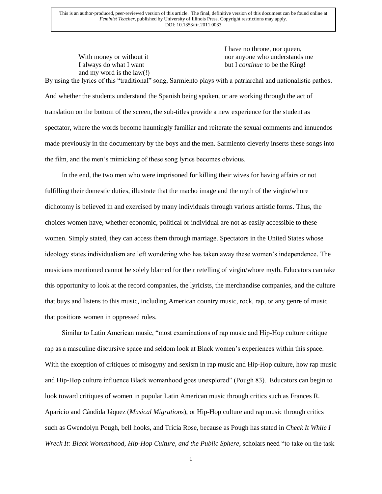With money or without it I always do what I want and my word is the law(!) I have no throne, nor queen, nor anyone who understands me but I *continue* to be the King!

By using the lyrics of this "traditional" song, Sarmiento plays with a patriarchal and nationalistic pathos. And whether the students understand the Spanish being spoken, or are working through the act of translation on the bottom of the screen, the sub-titles provide a new experience for the student as spectator, where the words become hauntingly familiar and reiterate the sexual comments and innuendos made previously in the documentary by the boys and the men. Sarmiento cleverly inserts these songs into the film, and the men's mimicking of these song lyrics becomes obvious.

In the end, the two men who were imprisoned for killing their wives for having affairs or not fulfilling their domestic duties, illustrate that the macho image and the myth of the virgin/whore dichotomy is believed in and exercised by many individuals through various artistic forms. Thus, the choices women have, whether economic, political or individual are not as easily accessible to these women. Simply stated, they can access them through marriage. Spectators in the United States whose ideology states individualism are left wondering who has taken away these women's independence. The musicians mentioned cannot be solely blamed for their retelling of virgin/whore myth. Educators can take this opportunity to look at the record companies, the lyricists, the merchandise companies, and the culture that buys and listens to this music, including American country music, rock, rap, or any genre of music that positions women in oppressed roles.

Similar to Latin American music, "most examinations of rap music and Hip-Hop culture critique rap as a masculine discursive space and seldom look at Black women's experiences within this space. With the exception of critiques of misogyny and sexism in rap music and Hip-Hop culture, how rap music and Hip-Hop culture influence Black womanhood goes unexplored" (Pough 83). Educators can begin to look toward critiques of women in popular Latin American music through critics such as Frances R. Aparicio and Cándida Jáquez (*Musical Migrations*), or Hip-Hop culture and rap music through critics such as Gwendolyn Pough, bell hooks, and Tricia Rose, because as Pough has stated in *Check It While I Wreck It: Black Womanhood, Hip-Hop Culture, and the Public Sphere*, scholars need "to take on the task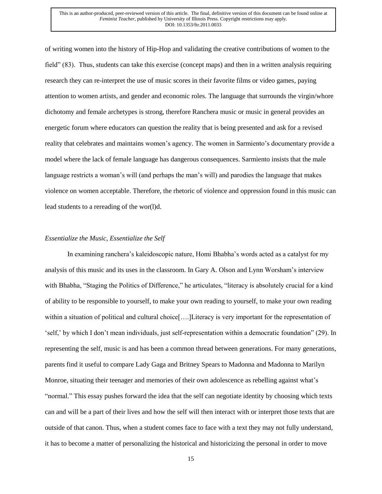of writing women into the history of Hip-Hop and validating the creative contributions of women to the field" (83). Thus, students can take this exercise (concept maps) and then in a written analysis requiring research they can re-interpret the use of music scores in their favorite films or video games, paying attention to women artists, and gender and economic roles. The language that surrounds the virgin/whore dichotomy and female archetypes is strong, therefore Ranchera music or music in general provides an energetic forum where educators can question the reality that is being presented and ask for a revised reality that celebrates and maintains women's agency. The women in Sarmiento's documentary provide a model where the lack of female language has dangerous consequences. Sarmiento insists that the male language restricts a woman's will (and perhaps the man's will) and parodies the language that makes violence on women acceptable. Therefore, the rhetoric of violence and oppression found in this music can lead students to a rereading of the wor(l)d.

## *Essentialize the Music, Essentialize the Self*

In examining ranchera's kaleidoscopic nature, Homi Bhabha's words acted as a catalyst for my analysis of this music and its uses in the classroom. In Gary A. Olson and Lynn Worsham's interview with Bhabha, "Staging the Politics of Difference," he articulates, "literacy is absolutely crucial for a kind of ability to be responsible to yourself, to make your own reading to yourself, to make your own reading within a situation of political and cultural choice[...] Literacy is very important for the representation of 'self,' by which I don't mean individuals, just self-representation within a democratic foundation" (29). In representing the self, music is and has been a common thread between generations. For many generations, parents find it useful to compare Lady Gaga and Britney Spears to Madonna and Madonna to Marilyn Monroe, situating their teenager and memories of their own adolescence as rebelling against what's "normal." This essay pushes forward the idea that the self can negotiate identity by choosing which texts can and will be a part of their lives and how the self will then interact with or interpret those texts that are outside of that canon. Thus, when a student comes face to face with a text they may not fully understand, it has to become a matter of personalizing the historical and historicizing the personal in order to move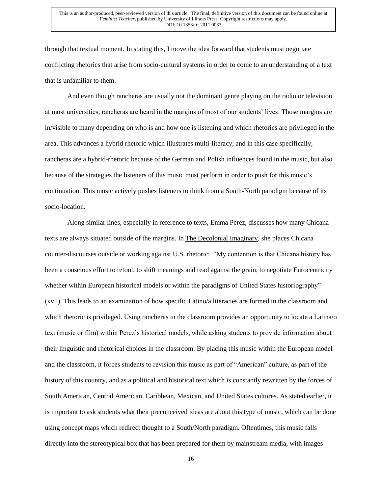through that textual moment. In stating this, I move the idea forward that students must negotiate conflicting rhetorics that arise from socio-cultural systems in order to come to an understanding of a text that is unfamiliar to them.

And even though rancheras are usually not the dominant genre playing on the radio or television at most universities, rancheras are heard in the margins of most of our students' lives. Those margins are in/visible to many depending on who is and how one is listening and which rhetorics are privileged in the area. This advances a hybrid rhetoric which illustrates multi-literacy, and in this case specifically, rancheras are a hybrid-rhetoric because of the German and Polish influences found in the music, but also because of the strategies the listeners of this music must perform in order to push for this music's continuation. This music actively pushes listeners to think from a South-North paradigm because of its socio-location.

Along similar lines, especially in reference to texts, Emma Perez, discusses how many Chicana texts are always situated outside of the margins. In The Decolonial Imaginary, she places Chicana counter-discourses outside or working against U.S. rhetoric: "My contention is that Chicana history has been a conscious effort to retool, to shift meanings and read against the grain, to negotiate Eurocentricity whether within European historical models or within the paradigms of United States historiography" (xvii). This leads to an examination of how specific Latino/a literacies are formed in the classroom and which rhetoric is privileged. Using rancheras in the classroom provides an opportunity to locate a Latina/o text (music or film) within Perez's historical models, while asking students to provide information about their linguistic and rhetorical choices in the classroom. By placing this music within the European model and the classroom, it forces students to revision this music as part of "American" culture, as part of the history of this country, and as a political and historical text which is constantly rewritten by the forces of South American, Central American, Caribbean, Mexican, and United States cultures. As stated earlier, it is important to ask students what their preconceived ideas are about this type of music, which can be done using concept maps which redirect thought to a South/North paradigm. Oftentimes, this music falls directly into the stereotypical box that has been prepared for them by mainstream media, with images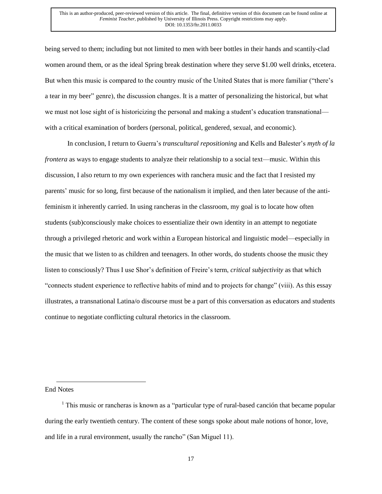being served to them; including but not limited to men with beer bottles in their hands and scantily-clad women around them, or as the ideal Spring break destination where they serve \$1.00 well drinks, etcetera. But when this music is compared to the country music of the United States that is more familiar ("there's a tear in my beer" genre), the discussion changes. It is a matter of personalizing the historical, but what we must not lose sight of is historicizing the personal and making a student's education transnational with a critical examination of borders (personal, political, gendered, sexual, and economic).

In conclusion, I return to Guerra's *transcultural repositioning* and Kells and Balester's *myth of la frontera* as ways to engage students to analyze their relationship to a social text—music. Within this discussion, I also return to my own experiences with ranchera music and the fact that I resisted my parents' music for so long, first because of the nationalism it implied, and then later because of the antifeminism it inherently carried. In using rancheras in the classroom, my goal is to locate how often students (sub)consciously make choices to essentialize their own identity in an attempt to negotiate through a privileged rhetoric and work within a European historical and linguistic model—especially in the music that we listen to as children and teenagers. In other words, do students choose the music they listen to consciously? Thus I use Shor's definition of Freire's term, *critical subjectivity* as that which "connects student experience to reflective habits of mind and to projects for change" (viii). As this essay illustrates, a transnational Latina/o discourse must be a part of this conversation as educators and students continue to negotiate conflicting cultural rhetorics in the classroom.

 $\overline{a}$ End Notes

<sup>&</sup>lt;sup>1</sup> This music or rancheras is known as a "particular type of rural-based canción that became popular during the early twentieth century. The content of these songs spoke about male notions of honor, love, and life in a rural environment, usually the rancho" (San Miguel 11).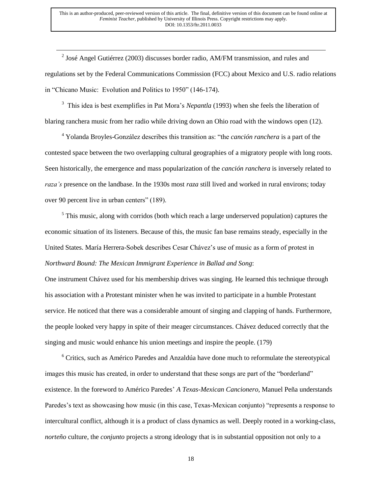$2$  José Angel Gutiérrez (2003) discusses border radio, AM/FM transmission, and rules and regulations set by the Federal Communications Commission (FCC) about Mexico and U.S. radio relations in "Chicano Music: Evolution and Politics to 1950" (146-174).

 $\overline{a}$ 

<sup>3</sup> This idea is best exemplifies in Pat Mora's *Nepantla* (1993) when she feels the liberation of blaring ranchera music from her radio while driving down an Ohio road with the windows open (12).

<sup>4</sup> Yolanda Broyles-González describes this transition as: "the *canción ranchera* is a part of the contested space between the two overlapping cultural geographies of a migratory people with long roots. Seen historically, the emergence and mass popularization of the *canción ranchera* is inversely related to *raza's* presence on the landbase. In the 1930s most *raza* still lived and worked in rural environs; today over 90 percent live in urban centers" (189).

 $<sup>5</sup>$  This music, along with corridos (both which reach a large underserved population) captures the</sup> economic situation of its listeners. Because of this, the music fan base remains steady, especially in the United States. María Herrera-Sobek describes Cesar Chávez's use of music as a form of protest in *Northward Bound: The Mexican Immigrant Experience in Ballad and Song*:

One instrument Chávez used for his membership drives was singing. He learned this technique through his association with a Protestant minister when he was invited to participate in a humble Protestant service. He noticed that there was a considerable amount of singing and clapping of hands. Furthermore, the people looked very happy in spite of their meager circumstances. Chávez deduced correctly that the singing and music would enhance his union meetings and inspire the people. (179)

 $6$  Critics, such as Américo Paredes and Anzaldúa have done much to reformulate the stereotypical images this music has created, in order to understand that these songs are part of the "borderland" existence. In the foreword to Américo Paredes' *A Texas-Mexican Cancionero,* Manuel Peña understands Paredes's text as showcasing how music (in this case, Texas-Mexican conjunto) "represents a response to intercultural conflict, although it is a product of class dynamics as well. Deeply rooted in a working-class, *norteño* culture, the *conjunto* projects a strong ideology that is in substantial opposition not only to a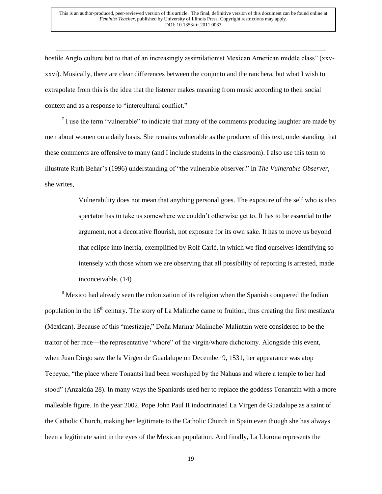hostile Anglo culture but to that of an increasingly assimilationist Mexican American middle class" (xxvxxvi). Musically, there are clear differences between the conjunto and the ranchera, but what I wish to extrapolate from this is the idea that the listener makes meaning from music according to their social context and as a response to "intercultural conflict."

 $\overline{a}$ 

 $<sup>7</sup>$  I use the term "vulnerable" to indicate that many of the comments producing laughter are made by</sup> men about women on a daily basis. She remains vulnerable as the producer of this text, understanding that these comments are offensive to many (and I include students in the classroom). I also use this term to illustrate Ruth Behar's (1996) understanding of "the vulnerable observer." In *The Vulnerable Observer*, she writes,

> Vulnerability does not mean that anything personal goes. The exposure of the self who is also spectator has to take us somewhere we couldn't otherwise get to. It has to be essential to the argument, not a decorative flourish, not exposure for its own sake. It has to move us beyond that eclipse into inertia, exemplified by Rolf Carlè, in which we find ourselves identifying so intensely with those whom we are observing that all possibility of reporting is arrested, made inconceivable. (14)

<sup>8</sup> Mexico had already seen the colonization of its religion when the Spanish conquered the Indian population in the  $16<sup>th</sup>$  century. The story of La Malinche came to fruition, thus creating the first mestizo/a (Mexican). Because of this "mestizaje," Doña Marina/ Malinche/ Malintzin were considered to be the traitor of her race—the representative "whore" of the virgin/whore dichotomy. Alongside this event, when Juan Diego saw the la Virgen de Guadalupe on December 9, 1531, her appearance was atop Tepeyac, "the place where Tonantsi had been worshiped by the Nahuas and where a temple to her had stood" (Anzaldúa 28). In many ways the Spaniards used her to replace the goddess Tonantzìn with a more malleable figure. In the year 2002, Pope John Paul II indoctrinated La Virgen de Guadalupe as a saint of the Catholic Church, making her legitimate to the Catholic Church in Spain even though she has always been a legitimate saint in the eyes of the Mexican population. And finally, La Llorona represents the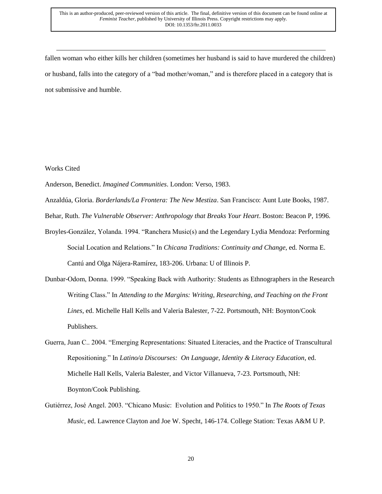fallen woman who either kills her children (sometimes her husband is said to have murdered the children) or husband, falls into the category of a "bad mother/woman," and is therefore placed in a category that is not submissive and humble.

## Works Cited

 $\overline{a}$ 

Anderson, Benedict. *Imagined Communities*. London: Verso, 1983.

Anzaldúa, Gloria. *Borderlands/La Frontera: The New Mestiza*. San Francisco: Aunt Lute Books, 1987.

Behar, Ruth. *The Vulnerable Observer: Anthropology that Breaks Your Heart*. Boston: Beacon P, 1996.

- Broyles-González, Yolanda. 1994. "Ranchera Music(s) and the Legendary Lydia Mendoza: Performing Social Location and Relations." In *Chicana Traditions: Continuity and Change*, ed. Norma E. Cantú and Olga Nájera-Ramírez, 183-206. Urbana: U of Illinois P.
- Dunbar-Odom, Donna. 1999. "Speaking Back with Authority: Students as Ethnographers in the Research Writing Class." In *Attending to the Margins: Writing, Researching, and Teaching on the Front Lines*, ed. Michelle Hall Kells and Valeria Balester, 7-22. Portsmouth, NH: Boynton/Cook Publishers.
- Guerra, Juan C.. 2004. "Emerging Representations: Situated Literacies, and the Practice of Transcultural Repositioning." In *Latino/a Discourses: On Language, Identity & Literacy Education*, ed. Michelle Hall Kells, Valeria Balester, and Victor Villanueva, 7-23. Portsmouth, NH: Boynton/Cook Publishing.
- Gutiérrez, José Angel. 2003. "Chicano Music: Evolution and Politics to 1950." In *The Roots of Texas Music*, ed. Lawrence Clayton and Joe W. Specht, 146-174. College Station: Texas A&M U P.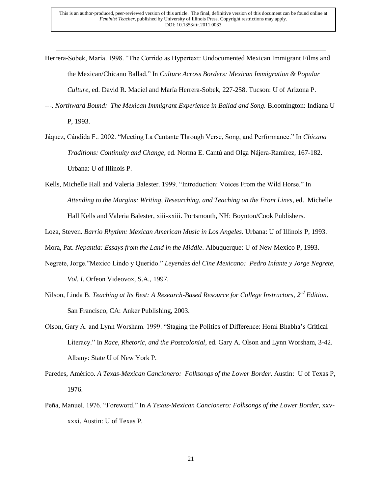Herrera-Sobek, María. 1998. "The Corrido as Hypertext: Undocumented Mexican Immigrant Films and the Mexican/Chicano Ballad." In *Culture Across Borders: Mexican Immigration & Popular Culture*, ed. David R. Maciel and María Herrera-Sobek, 227-258. Tucson: U of Arizona P.

 $\overline{a}$ 

- ---. *Northward Bound: The Mexican Immigrant Experience in Ballad and Song.* Bloomington: Indiana U P, 1993.
- Jáquez, Cándida F.. 2002. "Meeting La Cantante Through Verse, Song, and Performance." In *Chicana Traditions: Continuity and Change*, ed. Norma E. Cantú and Olga Nájera-Ramírez, 167-182. Urbana: U of Illinois P.
- Kells, Michelle Hall and Valeria Balester. 1999. "Introduction: Voices From the Wild Horse." In *Attending to the Margins: Writing, Researching, and Teaching on the Front Lines*, ed. Michelle Hall Kells and Valeria Balester, xiii-xxiii. Portsmouth, NH: Boynton/Cook Publishers.
- Loza, Steven. *Barrio Rhythm: Mexican American Music in Los Angeles*. Urbana: U of Illinois P, 1993.

Mora, Pat. *Nepantla: Essays from the Land in the Middle*. Albuquerque: U of New Mexico P, 1993.

- Negrete, Jorge."Mexico Lindo y Querido." *Leyendes del Cine Mexicano: Pedro Infante y Jorge Negrete, Vol. I*. Orfeon Videovox, S.A., 1997.
- Nilson, Linda B. *Teaching at Its Best: A Research-Based Resource for College Instructors, 2nd Edition*. San Francisco, CA: Anker Publishing, 2003.
- Olson, Gary A. and Lynn Worsham. 1999. "Staging the Politics of Difference: Homi Bhabha's Critical Literacy." In *Race, Rhetoric, and the Postcolonial*, ed*.* Gary A. Olson and Lynn Worsham, 3-42. Albany: State U of New York P.
- Paredes, Américo. *A Texas-Mexican Cancionero: Folksongs of the Lower Border*. Austin: U of Texas P, 1976.
- Peña, Manuel. 1976. "Foreword." In *A Texas-Mexican Cancionero: Folksongs of the Lower Border*, xxvxxxi. Austin: U of Texas P.